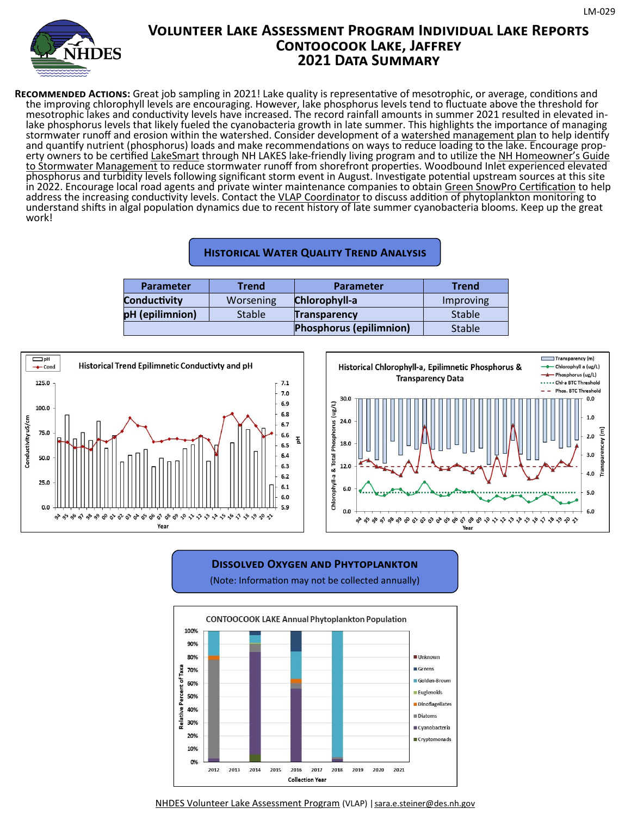

# **Volunteer Lake Assessment Program Individual Lake Reports Contoocook Lake, Jaffrey 2021 Data Summary**

**Recommended Actions:** Great job sampling in 2021! Lake quality is representative of mesotrophic, or average, conditions and the improving chlorophyll levels are encouraging. However, lake phosphorus levels tend to fluctuate above the threshold for mesotrophic lakes and conductivity levels have increased. The record rainfall amounts in summer 2021 resulted in elevated inlake phosphorus levels that likely fueled the cyanobacteria growth in late summer. This highlights the importance of managing stormwater runoff and erosion within the watershed. Consider development of a watershed management plan to help identify and quantify nutrient (phosphorus) loads and make recommendations on ways to reduce loading to the lake. Encourage property owners to be certified LakeSmart through NH LAKES lake-friendly living program and to utilize the NH Homeowner's Guide to Stormwater Management to reduce stormwater runoff from shorefront properties. Woodbound Inlet experienced elevated phosphorus and turbidity levels following significant storm event in August. Investigate potential upstream sources at this site in 2022. Encourage local road agents and private winter maintenance companies to obtain Green SnowPro Certification to help address the increasing conductivity levels. Contact the VLAP Coordinator to discuss addition of phytoplankton monitoring to understand shifts in algal population dynamics due to recent history of late summer cyanobacteria blooms. Keep up the great work!

#### **Historical Water Quality Trend Analysis**

| <b>Parameter</b>    | <b>Trend</b>  | <b>Parameter</b>               | <b>Trend</b>  |
|---------------------|---------------|--------------------------------|---------------|
| <b>Conductivity</b> | Worsening     | Chlorophyll-a                  | Improving     |
| pH (epilimnion)     | <b>Stable</b> | <b>Transparency</b>            | <b>Stable</b> |
|                     |               | <b>Phosphorus (epilimnion)</b> | <b>Stable</b> |





### **Dissolved Oxygen and Phytoplankton**  (Note: Information may not be collected annually)



NHDES Volunteer Lake Assessment Program (VLAP) | sara.e.steiner@des.nh.gov